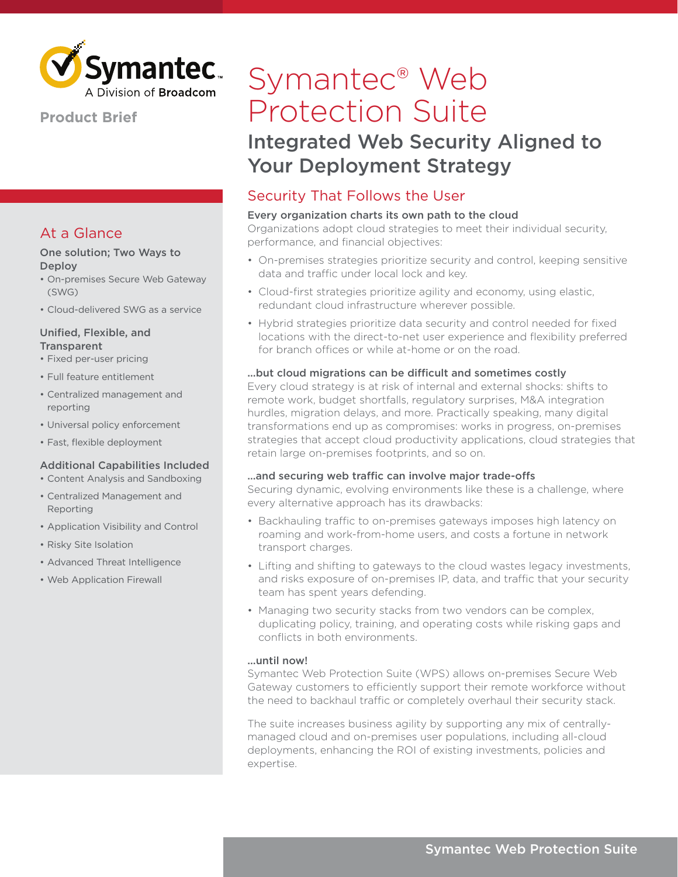

### **Product Brief**

### At a Glance

#### One solution; Two Ways to **Deploy**

- On-premises Secure Web Gateway (SWG)
- Cloud-delivered SWG as a service

#### Unified, Flexible, and **Transparent**

- Fixed per-user pricing
- Full feature entitlement
- Centralized management and reporting
- Universal policy enforcement
- Fast, flexible deployment

### Additional Capabilities Included

- Content Analysis and Sandboxing
- Centralized Management and Reporting
- Application Visibility and Control
- Risky Site Isolation
- Advanced Threat Intelligence
- Web Application Firewall

# Symantec® Web Protection Suite

## Integrated Web Security Aligned to Your Deployment Strategy

### Security That Follows the User

### Every organization charts its own path to the cloud

Organizations adopt cloud strategies to meet their individual security, performance, and financial objectives:

- On-premises strategies prioritize security and control, keeping sensitive data and traffic under local lock and key.
- Cloud-first strategies prioritize agility and economy, using elastic, redundant cloud infrastructure wherever possible.
- Hybrid strategies prioritize data security and control needed for fixed locations with the direct-to-net user experience and flexibility preferred for branch offices or while at-home or on the road.

#### ...but cloud migrations can be difficult and sometimes costly

Every cloud strategy is at risk of internal and external shocks: shifts to remote work, budget shortfalls, regulatory surprises, M&A integration hurdles, migration delays, and more. Practically speaking, many digital transformations end up as compromises: works in progress, on-premises strategies that accept cloud productivity applications, cloud strategies that retain large on-premises footprints, and so on.

#### …and securing web traffic can involve major trade-offs

Securing dynamic, evolving environments like these is a challenge, where every alternative approach has its drawbacks:

- Backhauling traffic to on-premises gateways imposes high latency on roaming and work-from-home users, and costs a fortune in network transport charges.
- Lifting and shifting to gateways to the cloud wastes legacy investments, and risks exposure of on-premises IP, data, and traffic that your security team has spent years defending.
- Managing two security stacks from two vendors can be complex, duplicating policy, training, and operating costs while risking gaps and conflicts in both environments.

#### ...until now!

Symantec Web Protection Suite (WPS) allows on-premises Secure Web Gateway customers to efficiently support their remote workforce without the need to backhaul traffic or completely overhaul their security stack.

The suite increases business agility by supporting any mix of centrallymanaged cloud and on-premises user populations, including all-cloud deployments, enhancing the ROI of existing investments, policies and expertise.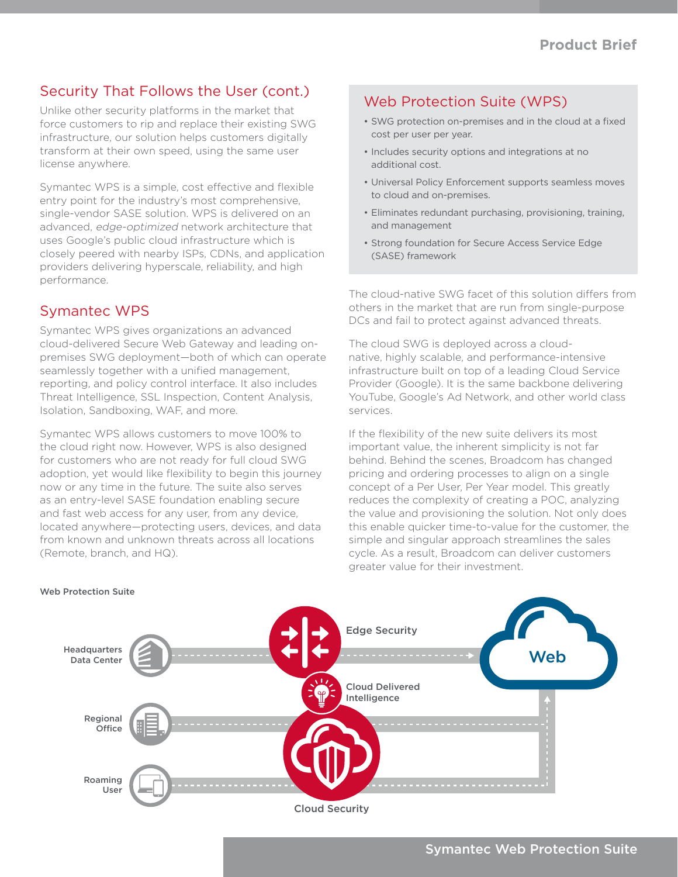### Security That Follows the User (cont.)

Unlike other security platforms in the market that force customers to rip and replace their existing SWG infrastructure, our solution helps customers digitally transform at their own speed, using the same user license anywhere.

Symantec WPS is a simple, cost effective and flexible entry point for the industry's most comprehensive, single-vendor SASE solution. WPS is delivered on an advanced, edge-optimized network architecture that uses Google's public cloud infrastructure which is closely peered with nearby ISPs, CDNs, and application providers delivering hyperscale, reliability, and high performance.

### Symantec WPS

Symantec WPS gives organizations an advanced cloud-delivered Secure Web Gateway and leading onpremises SWG deployment—both of which can operate seamlessly together with a unified management, reporting, and policy control interface. It also includes Threat Intelligence, SSL Inspection, Content Analysis, Isolation, Sandboxing, WAF, and more.

Symantec WPS allows customers to move 100% to the cloud right now. However, WPS is also designed for customers who are not ready for full cloud SWG adoption, yet would like flexibility to begin this journey now or any time in the future. The suite also serves as an entry-level SASE foundation enabling secure and fast web access for any user, from any device, located anywhere—protecting users, devices, and data from known and unknown threats across all locations (Remote, branch, and HQ).

### Web Protection Suite (WPS)

- SWG protection on-premises and in the cloud at a fixed cost per user per year.
- Includes security options and integrations at no additional cost.
- Universal Policy Enforcement supports seamless moves to cloud and on-premises.
- Eliminates redundant purchasing, provisioning, training, and management
- Strong foundation for Secure Access Service Edge (SASE) framework

The cloud-native SWG facet of this solution differs from others in the market that are run from single-purpose DCs and fail to protect against advanced threats.

The cloud SWG is deployed across a cloudnative, highly scalable, and performance-intensive infrastructure built on top of a leading Cloud Service Provider (Google). It is the same backbone delivering YouTube, Google's Ad Network, and other world class services.

If the flexibility of the new suite delivers its most important value, the inherent simplicity is not far behind. Behind the scenes, Broadcom has changed pricing and ordering processes to align on a single concept of a Per User, Per Year model. This greatly reduces the complexity of creating a POC, analyzing the value and provisioning the solution. Not only does this enable quicker time-to-value for the customer, the simple and singular approach streamlines the sales cycle. As a result, Broadcom can deliver customers greater value for their investment.



#### Web Protection Suite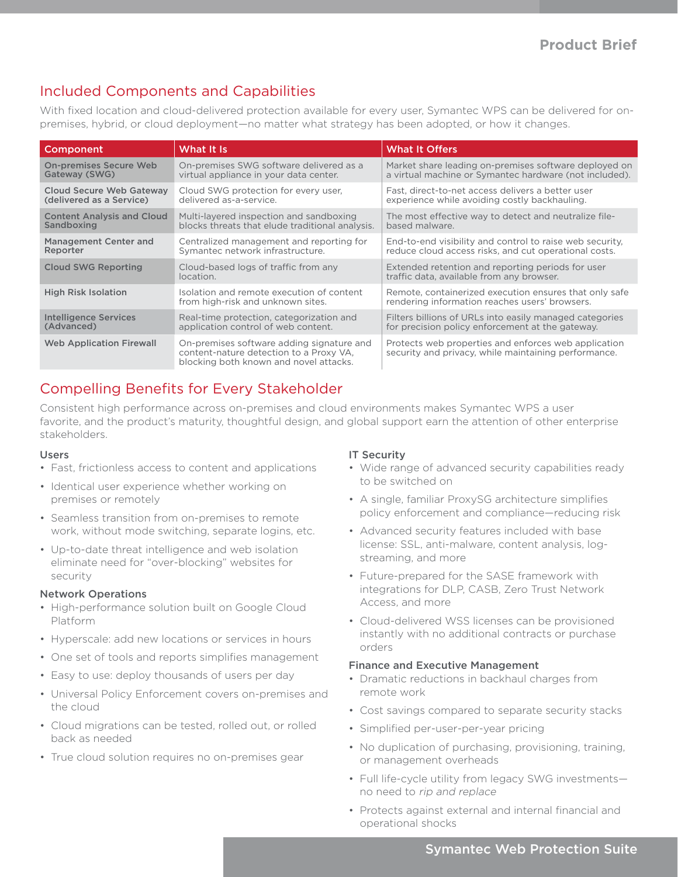### Included Components and Capabilities

With fixed location and cloud-delivered protection available for every user, Symantec WPS can be delivered for onpremises, hybrid, or cloud deployment—no matter what strategy has been adopted, or how it changes.

| Component                         | What It Is                                                                                                                     | <b>What It Offers</b>                                                                                        |
|-----------------------------------|--------------------------------------------------------------------------------------------------------------------------------|--------------------------------------------------------------------------------------------------------------|
| <b>On-premises Secure Web</b>     | On-premises SWG software delivered as a                                                                                        | Market share leading on-premises software deployed on                                                        |
| Gateway (SWG)                     | virtual appliance in your data center.                                                                                         | a virtual machine or Symantec hardware (not included).                                                       |
| Cloud Secure Web Gateway          | Cloud SWG protection for every user.                                                                                           | Fast, direct-to-net access delivers a better user                                                            |
| (delivered as a Service)          | delivered as-a-service.                                                                                                        | experience while avoiding costly backhauling.                                                                |
| <b>Content Analysis and Cloud</b> | Multi-layered inspection and sandboxing                                                                                        | The most effective way to detect and neutralize file-                                                        |
| Sandboxing                        | blocks threats that elude traditional analysis.                                                                                | based malware.                                                                                               |
| Management Center and             | Centralized management and reporting for                                                                                       | End-to-end visibility and control to raise web security,                                                     |
| Reporter                          | Symantec network infrastructure.                                                                                               | reduce cloud access risks, and cut operational costs.                                                        |
| <b>Cloud SWG Reporting</b>        | Cloud-based logs of traffic from any<br>location.                                                                              | Extended retention and reporting periods for user<br>traffic data, available from any browser.               |
| <b>High Risk Isolation</b>        | Isolation and remote execution of content<br>from high-risk and unknown sites.                                                 | Remote, containerized execution ensures that only safe<br>rendering information reaches users' browsers.     |
| <b>Intelligence Services</b>      | Real-time protection, categorization and                                                                                       | Filters billions of URLs into easily managed categories                                                      |
| (Advanced)                        | application control of web content.                                                                                            | for precision policy enforcement at the gateway.                                                             |
| <b>Web Application Firewall</b>   | On-premises software adding signature and<br>content-nature detection to a Proxy VA,<br>blocking both known and novel attacks. | Protects web properties and enforces web application<br>security and privacy, while maintaining performance. |

### Compelling Benefits for Every Stakeholder

Consistent high performance across on-premises and cloud environments makes Symantec WPS a user favorite, and the product's maturity, thoughtful design, and global support earn the attention of other enterprise stakeholders.

### Users

- Fast, frictionless access to content and applications
- Identical user experience whether working on premises or remotely
- Seamless transition from on-premises to remote work, without mode switching, separate logins, etc.
- Up-to-date threat intelligence and web isolation eliminate need for "over-blocking" websites for security

#### Network Operations

- High-performance solution built on Google Cloud Platform
- Hyperscale: add new locations or services in hours
- One set of tools and reports simplifies management
- Easy to use: deploy thousands of users per day
- Universal Policy Enforcement covers on-premises and the cloud
- Cloud migrations can be tested, rolled out, or rolled back as needed
- True cloud solution requires no on-premises gear

### IT Security

- Wide range of advanced security capabilities ready to be switched on
- A single, familiar ProxySG architecture simplifies policy enforcement and compliance—reducing risk
- Advanced security features included with base license: SSL, anti-malware, content analysis, logstreaming, and more
- Future-prepared for the SASE framework with integrations for DLP, CASB, Zero Trust Network Access, and more
- Cloud-delivered WSS licenses can be provisioned instantly with no additional contracts or purchase orders

### Finance and Executive Management

- Dramatic reductions in backhaul charges from remote work
- Cost savings compared to separate security stacks
- Simplified per-user-per-year pricing
- No duplication of purchasing, provisioning, training, or management overheads
- Full life-cycle utility from legacy SWG investments no need to rip and replace
- Protects against external and internal financial and operational shocks